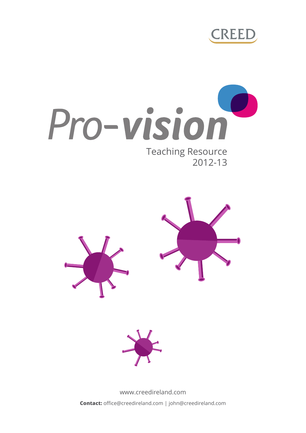







www.creedireland.com **Contact:** office@creedireland.com | john@creedireland.com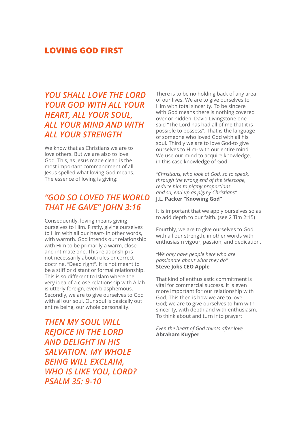### **LOVING GOD FIRST**

# *YOU SHALL LOVE THE LORD YOUR GOD WITH ALL YOUR HEART, ALL YOUR SOUL, ALL YOUR MIND AND WITH ALL YOUR STRENGTH*

We know that as Christians we are to love others. But we are also to love God. This, as Jesus made clear, is the most important commandment of all. Jesus spelled what loving God means. The essence of loving is giving:

# *"GOD SO LOVED THE WORLD THAT HE GAVE" JOHN 3:16*

Consequently, loving means giving ourselves to Him. Firstly, giving ourselves to Him with all our heart- in other words, with warmth. God intends our relationship with Him to be primarily a warm, close and intimate one. This relationship is not necessarily about rules or correct doctrine. "Dead right". It is not meant to be a stiff or distant or formal relationship. This is so different to Islam where the very idea of a close relationship with Allah is utterly foreign, even blasphemous. Secondly, we are to give ourselves to God with all our soul. Our soul is basically out entire being, our whole personality.

*THEN MY SOUL WILL REJOICE IN THE LORD AND DELIGHT IN HIS SALVATION. MY WHOLE BEING WILL EXCLAIM, WHO IS LIKE YOU, LORD? PSALM 35: 9-10*

There is to be no holding back of any area of our lives. We are to give ourselves to Him with total sincerity. To be sincere with God means there is nothing covered over or hidden. David Livingstone one said "The Lord has had all of me that it is possible to possess". That is the language of someone who loved God with all his soul. Thirdly we are to love God-to give ourselves to Him- with our entire mind. We use our mind to acquire knowledge. in this case knowledge of God.

*"Christians, who look at God, so to speak, through the wrong end of the telescope, reduce him to pigmy proportions and so, end up as pigmy Christians".* **J.L. Packer "Knowing God"** 

It is important that we apply ourselves so as to add depth to our faith. (see 2 Tim 2:15)

Fourthly, we are to give ourselves to God with all our strength, in other words with enthusiasm vigour, passion, and dedication.

*"We only have people here who are passionate about what they do"*  **Steve Jobs CEO Apple**

That kind of enthusiastic commitment is vital for commercial success. It is even more important for our relationship with God. This then is how we are to love God; we are to give ourselves to him with sincerity, with depth and with enthusiasm. To think about and turn into prayer:

#### *Even the heart of God thirsts after love* **Abraham Kuyper**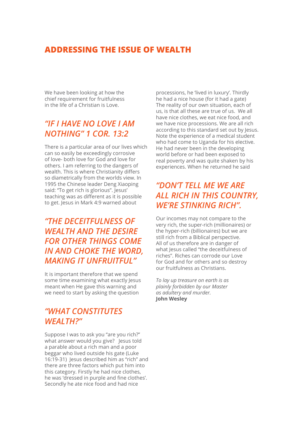### **ADDRESSING THE ISSUE OF WEALTH**

We have been looking at how the chief requirement for fruitfulness in the life of a Christian is Love.

### *"IF I HAVE NO LOVE I AM NOTHING" 1 COR. 13:2*

There is a particular area of our lives which can so easily be exceedingly corrosive of love- both love for God and love for others. I am referring to the dangers of wealth. This is where Christianity differs so diametrically from the worlds view. In 1995 the Chinese leader Deng Xiaoping said: "To get rich is glorious". Jesus' teaching was as different as it is possible to get. Jesus in Mark 4:9 warned about

# *"THE DECEITFULNESS OF WEALTH AND THE DESIRE FOR OTHER THINGS COME IN AND CHOKE THE WORD, MAKING IT UNFRUITFUL"*

It is important therefore that we spend some time examining what exactly Jesus meant when He gave this warning and we need to start by asking the question

### *"WHAT CONSTITUTES WEALTH?"*

Suppose I was to ask you "are you rich?" what answer would you give? Jesus told a parable about a rich man and a poor beggar who lived outside his gate (Luke 16:19-31) Jesus described him as "rich" and there are three factors which put him into this category. Firstly he had nice clothes, he was 'dressed in purple and fine clothes'. Secondly he ate nice food and had nice

processions, he 'lived in luxury'. Thirdly he had a nice house (for it had a gate) The reality of our own situation, each of us, is that all these are true of us. We all have nice clothes, we eat nice food, and we have nice processions. We are all rich according to this standard set out by Jesus. Note the experience of a medical student who had come to Uganda for his elective. He had never been in the developing world before or had been exposed to real poverty and was quite shaken by his experiences. When he returned he said

# *"DON'T TELL ME WE ARE ALL RICH IN THIS COUNTRY, WE'RE STINKING RICH".*

Our incomes may not compare to the very rich, the super-rich (millionaires) or the hyper-rich (billionaires) but we are still rich from a Biblical perspective. All of us therefore are in danger of what Jesus called "the deceitfulness of riches". Riches can corrode our Love for God and for others and so destroy our fruitfulness as Christians.

*To lay up treasure on earth is as plainly forbidden by our Master as adultery and murder.* **John Wesley**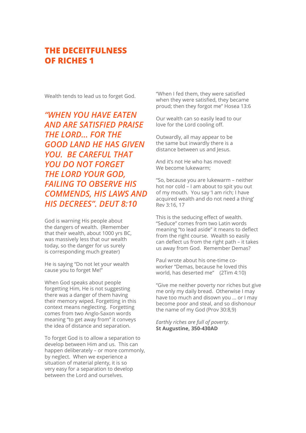Wealth tends to lead us to forget God.

*"WHEN YOU HAVE EATEN AND ARE SATISFIED PRAISE THE LORD... FOR THE GOOD LAND HE HAS GIVEN YOU. BE CAREFUL THAT YOU DO NOT FORGET THE LORD YOUR GOD, FAILING TO OBSERVE HIS COMMENDS, HIS LAWS AND HIS DECREES". DEUT 8:10*

God is warning His people about the dangers of wealth. (Remember that their wealth, about 1000 yrs BC, was massively less that our wealth today, so the danger for us surely is corresponding much greater)

He is saying "Do not let your wealth cause you to forget Me!"

When God speaks about people forgetting Him, He is not suggesting there was a danger of them having their memory wiped. Forgetting in this context means neglecting. Forgetting comes from two Anglo-Saxon words meaning "to get away from" it conveys the idea of distance and separation.

To forget God is to allow a separation to develop between Him and us. This can happen deliberately – or more commonly, by neglect. When we experience a situation of material plenty, it is so very easy for a separation to develop between the Lord and ourselves.

"When I fed them, they were satisfied when they were satisfied, they became proud; then they forgot me" Hosea 13:6

Our wealth can so easily lead to our love for the Lord cooling off.

Outwardly, all may appear to be the same but inwardly there is a distance between us and Jesus.

And it's not He who has moved! We become lukewarm;

"So, because you are lukewarm – neither hot nor cold – I am about to spit you out of my mouth. You say 'I am rich; I have acquired wealth and do not need a thing' Rev 3:16, 17

This is the seducing effect of wealth. "Seduce" comes from two Latin words meaning "to lead aside" it means to deflect from the right course. Wealth so easily can deflect us from the right path – it takes us away from God. Remember Demas?

Paul wrote about his one-time coworker "Demas, because he loved this world, has deserted me" (2Tim 4:10)

"Give me neither poverty nor riches but give me only my daily bread. Otherwise I may have too much and disown you ... or I may become poor and steal, and so dishonour the name of my God (Prov 30:8,9)

*Earthly riches are full of poverty.* **St Augustine, 350-430AD**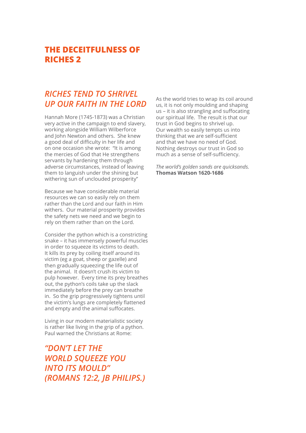## *RICHES TEND TO SHRIVEL UP OUR FAITH IN THE LORD*

Hannah More (1745-1873) was a Christian very active in the campaign to end slavery, working alongside William Wilberforce and John Newton and others. She knew a good deal of difficulty in her life and on one occasion she wrote: "It is among the mercies of God that He strengthens servants by hardening them through adverse circumstances, instead of leaving them to languish under the shining but withering sun of unclouded prosperity"

Because we have considerable material resources we can so easily rely on them rather than the Lord and our faith in Him withers. Our material prosperity provides the safety nets we need and we begin to rely on them rather than on the Lord.

Consider the python which is a constricting snake – it has immensely powerful muscles in order to squeeze its victims to death. It kills its prey by coiling itself around its victim (eg a goat, sheep or gazelle) and then gradually squeezing the life out of the animal. It doesn't crush its victim to pulp however. Every time its prey breathes out, the python's coils take up the slack immediately before the prey can breathe in. So the grip progressively tightens until the victim's lungs are completely flattened and empty and the animal suffocates.

Living in our modern materialistic society is rather like living in the grip of a python. Paul warned the Christians at Rome:

*"DON'T LET THE WORLD SQUEEZE YOU INTO ITS MOULD" (ROMANS 12:2, JB PHILIPS.)* As the world tries to wrap its coil around us, it is not only moulding and shaping us – it is also strangling and suffocating our spiritual life. The result is that our trust in God begins to shrivel up. Our wealth so easily tempts us into thinking that we are self-sufficient and that we have no need of God. Nothing destroys our trust in God so much as a sense of self-sufficiency.

*The world's golden sands are quicksands.*  **Thomas Watson 1620-1686**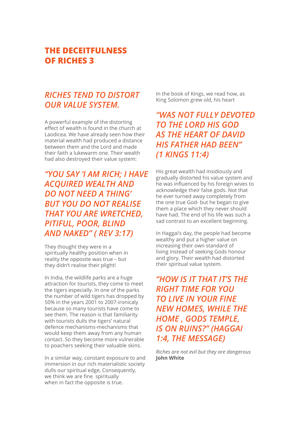# *RICHES TEND TO DISTORT OUR VALUE SYSTEM.*

A powerful example of the distorting effect of wealth is found in the church at Laodicea. We have already seen how their material wealth had produced a distance between them and the Lord and made their faith a lukewarm one. Their wealth had also destroyed their value system:

*"YOU SAY 'I AM RICH; I HAVE ACQUIRED WEALTH AND DO NOT NEED A THING' BUT YOU DO NOT REALISE THAT YOU ARE WRETCHED, PITIFUL, POOR, BLIND AND NAKED" ( REV 3:17)*

They thought they were in a spiritually healthy position when in reality the opposite was true – but they didn't realise their plight!

In India, the wildlife parks are a huge attraction for tourists, they come to meet the tigers especially. In one of the parks the number of wild tigers has dropped by 50% in the years 2001 to 2007-ironicaly because so many tourists have come to see them. The reason is that familiarity with tourists dulls the tigers' natural defence mechanisms-mechanisms that would keep them away from any human contact. So they become more vulnerable to poachers seeking their valuable skins.

In a similar way, constant exposure to and immersion in our rich materialistic society dulls our spiritual edge, Consequently, we think we are fine spiritually when in fact the opposite is true.

In the book of Kings, we read how, as King Solomon grew old, his heart

# *"WAS NOT FULLY DEVOTED TO THE LORD HIS GOD AS THE HEART OF DAVID HIS FATHER HAD BEEN" (1 KINGS 11:4)*

His great wealth had insidiously and gradually distorted his value system and he was influenced by his foreign wives to acknowledge their false gods. Not that he ever turned away completely from the one true God- but he began to give them a place which they never should have had. The end of his life was such a sad contrast to an excellent beginning.

In Haggai's day, the people had become wealthy and put a higher value on increasing their own standard of living instead of seeking Gods honour and glory. Their wealth had distorted their spiritual value system.

*"HOW IS IT THAT IT'S THE RIGHT TIME FOR YOU TO LIVE IN YOUR FINE NEW HOMES, WHILE THE HOME , GODS TEMPLE, IS ON RUINS?" (HAGGAI 1:4, THE MESSAGE)*

*Riches are not evil but they are dangerous* **John White**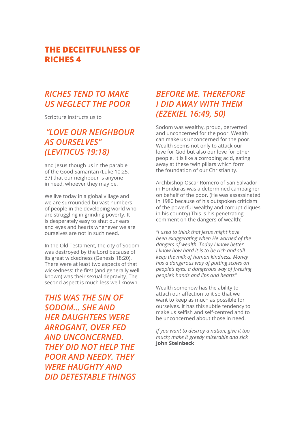## *RICHES TEND TO MAKE US NEGLECT THE POOR*

Scripture instructs us to

# *"LOVE OUR NEIGHBOUR AS OURSELVES" (LEVITICUS 19:18)*

and Jesus though us in the parable of the Good Samaritan (Luke 10:25, 37) that our neighbour is anyone in need, whoever they may be.

We live today in a global village and we are surrounded bu vast numbers of people in the developing world who are struggling in grinding poverty. It is desperately easy to shut our ears and eyes and hearts whenever we are ourselves are not in such need.

In the Old Testament, the city of Sodom was destroyed by the Lord because of its great wickedness (Genesis 18:20). There were at least two aspects of that wickedness: the first (and generally well known) was their sexual depravity. The second aspect is much less well known.

*THIS WAS THE SIN OF SODOM... SHE AND HER DAUGHTERS WERE ARROGANT, OVER FED AND UNCONCERNED. THEY DID NOT HELP THE POOR AND NEEDY. THEY WERE HAUGHTY AND DID DETESTABLE THINGS* 

# *BEFORE ME. THEREFORE I DID AWAY WITH THEM (EZEKIEL 16:49, 50)*

Sodom was wealthy, proud, perverted and unconcerned for the poor. Wealth can make us unconcerned for the poor. Wealth seems not only to attack our love for God but also our love for other people. It is like a corroding acid, eating away at these twin pillars which form the foundation of our Christianity.

Archbishop Oscar Romero of San Salvador in Honduras was a determined campaigner on behalf of the poor. (He was assassinated in 1980 because of his outspoken criticism of the powerful wealthy and corrupt cliques in his country) This is his penetrating comment on the dangers of wealth:

*"I used to think that Jesus might have been exaggerating when He warned of the dangers of wealth. Today I know better. I know how hard it is to be rich and still keep the milk of human kindness. Money has a dangerous way of putting scales on people's eyes: a dangerous way of freezing people's hands and lips and hearts"*

Wealth somehow has the ability to attach our affection to it so that we want to keep as much as possible for ourselves. It has this subtle tendency to make us selfish and self-centred and to be unconcerned about those in need.

*If you want to destroy a nation, give it too much; make it greedy miserable and sick* **John Steinbeck**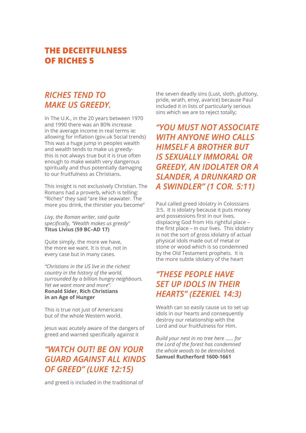## *RICHES TEND TO MAKE US GREEDY.*

In The U.K., in the 20 years between 1970 and 1990 there was an 80% increase in the average income in real terms ie: allowing for inflation (gov.uk Social trends) This was a huge jump in peoples wealth and wealth tends to make us greedythis is not always true but it is true often enough to make wealth very dangerous spiritually and thus potentially damaging to our fruitfulness as Christians.

This insight is not exclusively Christian. The Romans had a proverb, which is telling: "Riches" they said "are like seawater. The more you drink, the thirstier you become"

*Livy, the Roman writer, said quite specifically, "Wealth makes us greedy"* **Titus Livius (59 BC–AD 17)**

Quite simply, the more we have, the more we want. It is true, not in every case but in many cases.

*"Christians in the US live in the richest country in the history of the world, surrounded by a billion hungry neighbours. Yet we want more and more".*  **Ronald Sider, Rich Christians in an Age of Hunger** 

This is true not just of Americans but of the whole Western world.

Jesus was acutely aware of the dangers of greed and warned specifically against it

# *"WATCH OUT! BE ON YOUR GUARD AGAINST ALL KINDS OF GREED" (LUKE 12:15)*

and greed is included in the traditional of

the seven deadly sins (Lust, sloth, gluttony, pride, wrath, envy, avarice) because Paul included it in lists of particularly serious sins which we are to reject totally;

*"YOU MUST NOT ASSOCIATE WITH ANYONE WHO CALLS HIMSELF A BROTHER BUT IS SEXUALLY IMMORAL OR GREEDY, AN IDOLATER OR A SLANDER, A DRUNKARD OR A SWINDLER" (1 COR. 5:11)*

Paul called greed idolatry in Colossians 3:5. It is idolatry because it puts money and possessions first in our lives, displacing God from His rightful place – the first place – in our lives. This idolatry is not the sort of gross idolatry of actual physical idols made out of metal or stone or wood which is so condemned by the Old Testament prophets. It is the more subtle idolatry of the heart

# *"THESE PEOPLE HAVE SET UP IDOLS IN THEIR HEARTS" (EZEKIEL 14:3)*

Wealth can so easily cause us to set up idols in our hearts and consequently destroy our relationship with the Lord and our fruitfulness for Him.

*Build your nest in no tree here ...... for the Lord of the forest has condemned the whole woods to be demolished.* **Samuel Rutherford 1600-1661**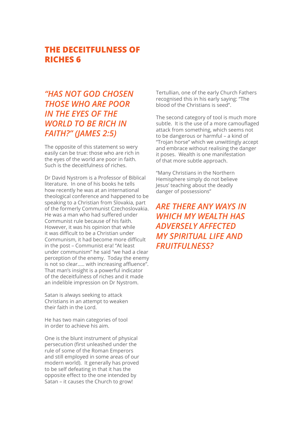# *"HAS NOT GOD CHOSEN THOSE WHO ARE POOR IN THE EYES OF THE WORLD TO BE RICH IN FAITH?" (JAMES 2:5)*

The opposite of this statement so wery easily can be true: those who are rich in the eyes of the world are poor in faith. Such is the deceitfulness of riches.

Dr David Nystrom is a Professor of Biblical literature. In one of his books he tells how recently he was at an international theological conference and happened to be speaking to a Christian from Slovakia, part of the formerly Communist Czechoslovakia. He was a man who had suffered under Communist rule because of his faith. However, it was his opinion that while it was difficult to be a Christian under Communism, it had become more difficult in the post – Communist era! "At least under communism" he said "we had a clear perception of the enemy. Today the enemy is not so clear..... with increasing affluence". That man's insight is a powerful indicator of the deceitfulness of riches and it made an indelible impression on Dr Nystrom.

Satan is always seeking to attack Christians in an attempt to weaken their faith in the Lord.

He has two main categories of tool in order to achieve his aim.

One is the blunt instrument of physical persecution (first unleashed under the rule of some of the Roman Emperors and still employed in some areas of our modern world). It generally has proved to be self defeating in that it has the opposite effect to the one intended by Satan – it causes the Church to grow!

Tertullian, one of the early Church Fathers recognised this in his early saying: "The blood of the Christians is seed".

The second category of tool is much more subtle. It is the use of a more camouflaged attack from something, which seems not to be dangerous or harmful – a kind of "Trojan horse" which we unwittingly accept and embrace without realising the danger it poses. Wealth is one manifestation of that more subtle approach.

"Many Christians in the Northern Hemisphere simply do not believe Jesus' teaching about the deadly danger of possessions"

*ARE THERE ANY WAYS IN WHICH MY WEALTH HAS ADVERSELY AFFECTED MY SPIRITUAL LIFE AND FRUITFULNESS?*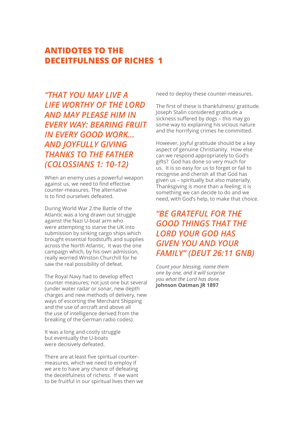*"THAT YOU MAY LIVE A LIFE WORTHY OF THE LORD AND MAY PLEASE HIM IN EVERY WAY: BEARING FRUIT IN EVERY GOOD WORK... AND JOYFULLY GIVING THANKS TO THE FATHER (COLOSSIANS 1: 10-12)*

When an enemy uses a powerful weapon against us, we need to find effective counter-measures. The alternative is to find ourselves defeated.

During World War 2.the Battle of the Atlantic was a long drawn out struggle against the Nazi U-boat arm who were attempting to starve the UK into submission by sinking cargo ships which brought essential foodstuffs and supplies across the North Atlantic. It was the one campaign which, by his own admission, really worried Winston Churchill for he saw the real possibility of defeat.

The Royal Navy had to develop effect counter measures; not just one but several (under water radar or sonar, new depth charges and new methods of delivery, new ways of escorting the Merchant Shipping and the use of aircraft and above all the use of intelligence derived from the breaking of the German radio codes).

It was a long and costly struggle but eventually the U-boats were decisively defeated.

There are at least five spiritual countermeasures, which we need to employ if we are to have any chance of defeating the deceitfulness of richess. If we want to be fruitful in our spiritual lives then we need to deploy these counter-measures.

The first of these is thankfulness/ gratitude. Joseph Stalin considered gratitude a sickness suffered by dogs – this may go some way to explaining his vicious nature and the horrifying crimes he committed.

However, joyful gratitude should be a key aspect of genuine Christianity. How else can we respond appropriately to God's gifts? God has done so very much for us. It is so easy for us to forget or fail to recognise and cherish all that God has given us – spiritually but also materially. Thanksgiving is more than a feeling; it is something we can decide to do and we need, with God's help, to make that choice.

# *"BE GRATEFUL FOR THE GOOD THINGS THAT THE LORD YOUR GOD HAS GIVEN YOU AND YOUR FAMILY" (DEUT 26:11 GNB)*

*Count your blessing, name them one by one, and it will surprise you what the Lord has done.* **Johnson Oatman JR 1897**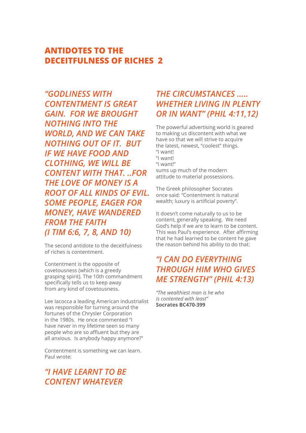*"GODLINESS WITH CONTENTMENT IS GREAT GAIN. FOR WE BROUGHT NOTHING INTO THE WORLD, AND WE CAN TAKE NOTHING OUT OF IT. BUT IF WE HAVE FOOD AND CLOTHING, WE WILL BE CONTENT WITH THAT. ..FOR THE LOVE OF MONEY IS A ROOT OF ALL KINDS OF EVIL. SOME PEOPLE, EAGER FOR MONEY, HAVE WANDERED FROM THE FAITH (I TIM 6:6, 7, 8, AND 10)*

The second antidote to the deceitfulness of riches is contentment.

Contentment is the opposite of covetousness (which is a greedy grasping spirit). The 10th commandment specifically tells us to keep away from any kind of covetousness.

Lee Iacocca a leading American industrialist was responsible for turning around the fortunes of the Chrysler Corporation in the 1980s. He once commented "I have never in my lifetime seen so many people who are so affluent but they are all anxious. Is anybody happy anymore?"

Contentment is something we can learn. Paul wrote:

# *"I HAVE LEARNT TO BE CONTENT WHATEVER*

## *THE CIRCUMSTANCES ..... WHETHER LIVING IN PLENTY OR IN WANT" (PHIL 4:11,12)*

The powerful advertising world is geared to making us discontent with what we have so that we will strive to acquire the latest, newest, "coolest" things. "I want! "I want! "I want!" sums up much of the modern attitude to material possessions.

The Greek philosopher Socrates once said: "Contentment is natural wealth; luxury is artificial poverty".

It doesn't come naturally to us to be content, generally speaking. We need God's help if we are to learn to be content. This was Paul's experience. After affirming that he had learned to be content he gave the reason behind his ability to do that:

# *"I CAN DO EVERYTHING THROUGH HIM WHO GIVES ME STRENGTH" (PHIL 4:13)*

*"The wealthiest man is he who is contented with least"*  **Socrates BC470-399**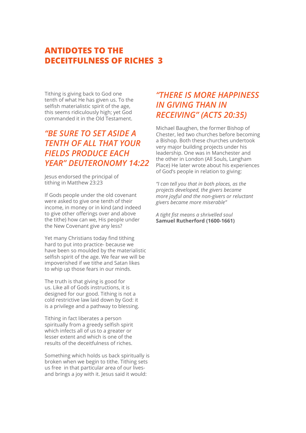Tithing is giving back to God one tenth of what He has given us. To the selfish materialistic spirit of the age, this seems ridiculously high; yet God commanded it in the Old Testament.

# *"BE SURE TO SET ASIDE A TENTH OF ALL THAT YOUR FIELDS PRODUCE EACH YEAR" DEUTERONOMY 14:22*

Jesus endorsed the principal of tithing in Matthew 23:23

If Gods people under the old covenant were asked to give one tenth of their income, in money or in kind (and indeed to give other offerings over and above the tithe) how can we, His people under the New Covenant give any less?

Yet many Christians today find tithing hard to put into practice- because we have been so moulded by the materialistic selfish spirit of the age. We fear we will be impoverished if we tithe and Satan likes to whip up those fears in our minds.

The truth is that giving is good for us. Like all of Gods instructions, it is designed for our good. Tithing is not a cold restrictive law laid down by God: it is a privilege and a pathway to blessing.

Tithing in fact liberates a person spiritually from a greedy selfish spirit which infects all of us to a greater or lesser extent and which is one of the results of the deceitfulness of riches.

Something which holds us back spiritually is broken when we begin to tithe. Tithing sets us free in that particular area of our livesand brings a joy with it. Jesus said it would:

# *"THERE IS MORE HAPPINESS IN GIVING THAN IN RECEIVING" (ACTS 20:35)*

Michael Baughen, the former Bishop of Chester, led two churches before becoming a Bishop. Both these churches undertook very major building projects under his leadership. One was in Manchester and the other in London (All Souls, Langham Place) He later wrote about his experiences of God's people in relation to giving:

*"I can tell you that in both places, as the projects developed, the givers became more joyful and the non-givers or reluctant givers became more miserable"*

*A tight fist means a shrivelled soul* **Samuel Rutherford (1600-1661)**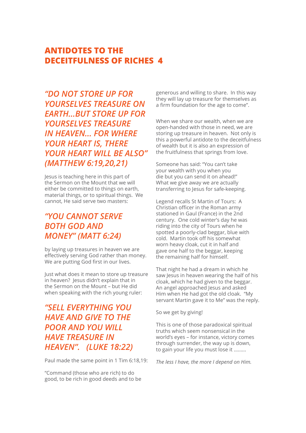*"DO NOT STORE UP FOR YOURSELVES TREASURE ON EARTH...BUT STORE UP FOR YOURSELVES TREASURE IN HEAVEN... FOR WHERE YOUR HEART IS, THERE YOUR HEART WILL BE ALSO" (MATTHEW 6:19,20,21)*

Jesus is teaching here in this part of the Sermon on the Mount that we will either be committed to things on earth, material things, or to spiritual things. We cannot, He said serve two masters:

# *"YOU CANNOT SERVE BOTH GOD AND MONEY" (MATT 6:24)*

by laying up treasures in heaven we are effectively serving God rather than money. We are putting God first in our lives.

Just what does it mean to store up treasure in heaven? Jesus didn't explain that in the Sermon on the Mount – but He did when speaking with the rich young ruler:

# *"SELL EVERYTHING YOU HAVE AND GIVE TO THE POOR AND YOU WILL HAVE TREASURE IN HEAVEN". (LUKE 18:22)*

Paul made the same point in 1 Tim 6:18,19:

"Command (those who are rich) to do good, to be rich in good deeds and to be generous and willing to share. In this way they will lay up treasure for themselves as a firm foundation for the age to come".

When we share our wealth, when we are open-handed with those in need, we are storing up treasure in heaven. Not only is this a powerful antidote to the deceitfulness of wealth but it is also an expression of the fruitfulness that springs from love.

Someone has said: "You can't take your wealth with you when you die but you can send it on ahead!" What we give away we are actually transferring to Jesus for safe-keeping.

Legend recalls St Martin of Tours: A Christian officer in the Roman army stationed in Gaul (France) in the 2nd century. One cold winter's day he was riding into the city of Tours when he spotted a poorly-clad beggar, blue with cold. Martin took off his somewhat worn heavy cloak, cut it in half and gave one half to the beggar, keeping the remaining half for himself.

That night he had a dream in which he saw Jesus in heaven wearing the half of his cloak, which he had given to the beggar. An angel approached Jesus and asked Him when He had got the old cloak. "My servant Martin gave it to Me" was the reply.

So we get by giving!

This is one of those paradoxical spiritual truths which seem nonsensical in the world's eyes – for instance, victory comes through surrender, the way up is down, to gain your life you must lose it .........

*The less I have, the more I depend on Him.*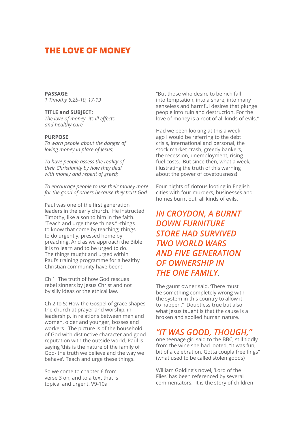#### **THE LOVE OF MONEY**

#### **PASSAGE:**

*1 Timothy 6:2b-10, 17-19* 

#### **TITLE and SUBJECT:**

*The love of money- its ill effects and healthy cure*

#### **PURPOSE**

*To warn people about the danger of loving money in place of Jesus;* 

*To have people assess the reality of their Christianity by how they deal with money and repent of greed;* 

*To encourage people to use their money more for the good of others because they trust God.*

Paul was one of the first generation leaders in the early church. He instructed Timothy, like a son to him in the faith. "Teach and urge these things." -things to know that come by teaching; things to do urgently, pressed home by preaching. And as we approach the Bible it is to learn and to be urged to do. The things taught and urged within Paul's training programme for a healthy Christian community have been:-

Ch 1: The truth of how God rescues rebel sinners by Jesus Christ and not by silly ideas or the ethical law.

Ch 2 to 5: How the Gospel of grace shapes the church at prayer and worship, in leadership, in relations between men and women, older and younger, bosses and workers. The picture is of the household of God with distinctive character and good reputation with the outside world. Paul is saying 'this is the nature of the family of God- the truth we believe and the way we behave'. Teach and urge these things.

So we come to chapter 6 from verse 3 on, and to a text that is topical and urgent. V9-10a

"But those who desire to be rich fall into temptation, into a snare, into many senseless and harmful desires that plunge people into ruin and destruction. For the love of money is a root of all kinds of evils."

Had we been looking at this a week ago I would be referring to the debt crisis, international and personal, the stock market crash, greedy bankers, the recession, unemployment, rising fuel costs. But since then, what a week, illustrating the truth of this warning about the power of covetousness!

Four nights of riotous looting in English cities with four murders, businesses and homes burnt out, all kinds of evils.

# *IN CROYDON, A BURNT DOWN FURNITURE STORE HAD SURVIVED TWO WORLD WARS AND FIVE GENERATION OF OWNERSHIP IN THE ONE FAMILY*.

The gaunt owner said, There must be something completely wrong with the system in this country to allow it to happen." Doubtless true but also what Jesus taught is that the cause is a broken and spoiled human nature.

#### *"IT WAS GOOD, THOUGH,"*

one teenage girl said to the BBC, still tiddly from the wine she had looted. "It was fun, bit of a celebration. Gotta coupla free fings" (what used to be called stolen goods)

William Golding's novel, 'Lord of the Flies' has been referenced by several commentators. It is the story of children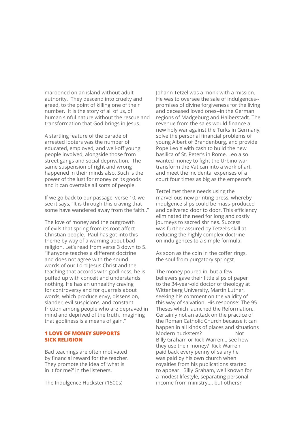marooned on an island without adult authority. They descend into cruelty and greed, to the point of killing one of their number. It is the story of all of us, of human sinful nature without the rescue and transformation that God brings in Jesus.

A startling feature of the parade of arrested looters was the number of educated, employed, and well-off young people involved, alongside those from street gangs and social deprivation. The same suspension of right and wrong happened in their minds also. Such is the power of the lust for money or its goods and it can overtake all sorts of people.

If we go back to our passage, verse 10, we see it says, "It is through this craving that some have wandered away from the faith.."

The love of money and the outgrowth of evils that spring from its root affect Christian people. Paul has got into this theme by way of a warning about bad religion. Let's read from verse 3 down to 5. "If anyone teaches a different doctrine and does not agree with the sound words of our Lord Jesus Christ and the teaching that accords with godliness, he is puffed up with conceit and understands nothing. He has an unhealthy craving for controversy and for quarrels about words, which produce envy, dissension, slander, evil suspicions, and constant friction among people who are depraved in mind and deprived of the truth, imagining that godliness is a means of gain."

#### **1 LOVE OF MONEY SUPPORTS SICK RELIGION**

Bad teachings are often motivated by financial reward for the teacher. They promote the idea of 'what is in it for me?' in the listeners.

The Indulgence Huckster (1500s)

Johann Tetzel was a monk with a mission. He was to oversee the sale of indulgences- promises of divine forgiveness for the living and deceased loved ones--in the German regions of Madgeburg and Halberstadt. The revenue from the sales would finance a new holy war against the Turks in Germany, solve the personal financial problems of young Albert of Brandenburg, and provide Pope Leo X with cash to build the new basilica of St. Peter's in Rome. Leo also wanted money to fight the Urbino war, transform the Vatican into a work of art, and meet the incidental expenses of a court four times as big as the emperor's.

Tetzel met these needs using the marvellous new printing press, whereby indulgence slips could be mass-produced and delivered door to door. This efficiency eliminated the need for long and costly journeys to sacred shrines. Success was further assured by Tetzel's skill at reducing the highly complex doctrine on indulgences to a simple formula:

As soon as the coin in the coffer rings, the soul from purgatory springst.

The money poured in, but a few believers gave their little slips of paper to the 34-year-old doctor of theology at Wittenberg University, Martin Luther, seeking his comment on the validity of this way of salvation. His response: The 95 Theses which launched the Reformation.. Certainly not an attack on the practice of the Roman Catholic Church because it can happen in all kinds of places and situations Modern hucksters? Not Billy Graham or Rick Warren… see how they use their money? Rick Warren paid back every penny of salary he was paid by his own church when royalties from his publications started to appear. Billy Graham, well known for a modest lifestyle, separating personal income from ministry.... but others?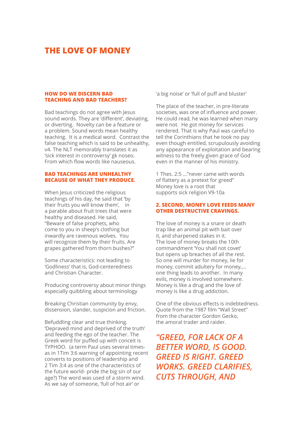#### **THE LOVE OF MONEY**

#### **HOW DO WE DISCERN BAD TEACHING AND BAD TEACHERS?**

Bad teachings do not agree with Jesus sound words. They are 'different', deviating, or diverting. Novelty can be a feature or a problem. Sound words mean healthy teaching. It is a medical word. Contrast the false teaching which is said to be unhealthy, v4. The NLT memorably translates it as 'sick interest in controversy' gk noseo. From which flow words like nauseous.

#### **BAD TEACHINGS ARE UNHEALTHY BECAUSE OF WHAT THEY PRODUCE.**

When Jesus criticized the religious teachings of his day, he said that 'by their fruits you will know them', in a parable about fruit trees that were healthy and diseased. He said, "Beware of false prophets, who come to you in sheep's clothing but inwardly are ravenous wolves. You will recognize them by their fruits. Are grapes gathered from thorn bushes?"

Some characteristics: not leading to 'Godliness' that is, God-centeredness and Christian Character.

Producing controversy about minor things especially quibbling about terminology

Breaking Christian community by envy, dissension, slander, suspicion and friction.

Befuddling clear and true thinking. 'Depraved mind and deprived of the truth' and feeding the ego of the teacher. The Greek word for puffed up with conceit is TYPHOO. (a term Paul uses several timesas in 1Tim 3:6 warning of appointing recent converts to positions of leadership and 2 Tim 3:4 as one of the characteristics of the future world- pride the big sin of our age?) The word was used of a storm wind. As we say of someone, 'full of hot air' or

'a big noise' or 'full of puff and bluster'

The place of the teacher, in pre-literate societies, was one of influence and power. He could read, he was learned when many were not. He got money for services rendered. That is why Paul was careful to tell the Corinthians that he took no pay even though entitled, scrupulously avoiding any appearance of exploitation and bearing witness to the freely given grace of God even in the manner of his ministry.

1 Thes. 2:5 …"never came with words of flattery as a pretext for greed" Money love is a root that supports sick religion V9-10a

#### **2. SECOND, MONEY LOVE FEEDS MANY OTHER DESTRUCTIVE CRAVINGS.**

The love of money is a snare or death trap like an animal pit with bait over it, and sharpened stakes in it. The love of money breaks the 10th commandment 'You shall not covet' but opens up breaches of all the rest. So one will murder for money, lie for money, commit adultery for money,… one thing leads to another. In many evils, money is involved somewhere. Money is like a drug and the love of money is like a drug addiction.

One of the obvious effects is indebtedness. Quote from the 1987 film "Wall Street" from the character Gordon Gecko, the amoral trader and raider.

# *"GREED, FOR LACK OF A BETTER WORD, IS GOOD. GREED IS RIGHT. GREED WORKS. GREED CLARIFIES, CUTS THROUGH, AND*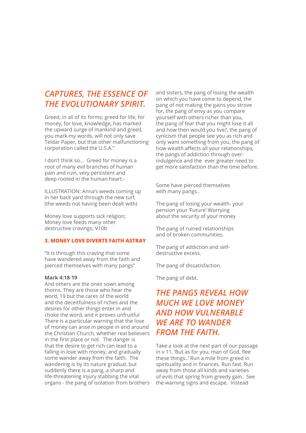### *CAPTURES, THE ESSENCE OF THE EVOLUTIONARY SPIRIT.*

Greed, in all of its forms; greed for life, for money, for love, knowledge, has marked the upward surge of mankind and greed, you mark my words, will not only save Teldar Paper, but that other malfunctioning corporation called the U.S.A."

I don't think so… Greed for money is a root of many evil branches of human pain and ruin, very persistent and deep rooted in the human heart:-

ILLUSTRATION: Anna's weeds coming up in her back yard through the new turf, (the weeds not having been dealt with)

Money love supports sick religion; Money love feeds many other destructive cravings; V10b

#### **3. MONEY LOVE DIVERTS FAITH ASTRAY**

"It is through this craving that some have wandered away from the faith and pierced themselves with many pangs"

#### **Mark 4:18-19**

And others are the ones sown among thorns. They are those who hear the word, 19 but the cares of the world and the deceitfulness of riches and the desires for other things enter in and choke the word, and it proves unfruitful There is a particular warning that the love of money can arise in people in and around the Christian Church, whether real believers in the first place or not. The danger is that the desire to get rich can lead to a falling in love with money, and gradually some wander away from the faith. The wandering is by its nature gradual, but suddenly there is a pang, a sharp and life-threatening injury stabbing the vital organs - the pang of isolation from brothers

and sisters, the pang of losing the wealth on which you have come to depend, the pang of not making the gains you strove for, the pang of envy as you compare yourself with others richer than you, the pang of fear that you might lose it all and how then would you live?, the pang of cynicism that people see you as rich and only want something from you, the pang of how wealth affects all your relationships, the pangs of addiction through overindulgence and the ever greater need to get more satisfaction than the time before.

Some have pierced themselves with many pangs..

The pang of losing your wealth- your pension your 'Future' Worrying about the security of your money

The pang of ruined relationships and of broken communities.

The pang of addiction and selfdestructive excess.

The pang of dissatisfaction.

The pang of debt.

# *THE PANGS REVEAL HOW MUCH WE LOVE MONEY AND HOW VULNERABLE WE ARE TO WANDER FROM THE FAITH.*

Take a look at the next part of our passage in v 11, 'But as for you, man of God, flee these things..' Run a mile from greed in spirituality and in finances. Run fast. Run away from those all kinds and varieties of evils that spring from greedy gain. See the warning signs and escape. Instead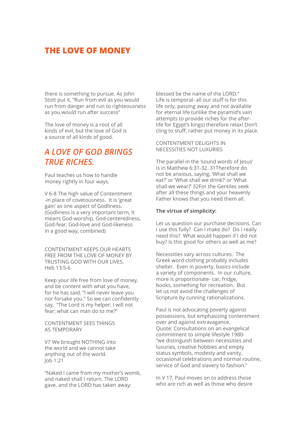### **THE LOVE OF MONEY**

there is something to pursue. As John Stott put it, "Run from evil as you would run from danger and run to righteousness as you would run after success"

The love of money is a root of all kinds of evil, but the love of God is a source of all kinds of good.

# *A LOVE OF GOD BRINGS TRUE RICHES.*

Paul teaches us how to handle money rightly in four ways.

V 6-8 The high value of Contentment -in place of covetousness. It is 'great gain' as one aspect of Godliness. (Godliness is a very important term, It means God-worship, God-centeredness, God-fear, God-love and God-likeness in a good way, combined)

CONTENTMENT KEEPS OUR HEARTS FREE FROM THE LOVE OF MONEY BY TRUSTING GOD WITH OUR LIVES. Heb 13:5-6

Keep your life free from love of money, and be content with what you have, for he has said, "I will never leave you nor forsake you." So we can confidently say, "The Lord is my helper; I will not fear; what can man do to me?"

#### CONTENTMENT SEES THINGS AS TEMPORARY

V7 We brought NOTHING into the world and we cannot take anything out of the world. Job 1:21

"Naked I came from my mother's womb, and naked shall I return. The LORD gave, and the LORD has taken away;

blessed be the name of the LORD." Life is temporal- all our stuff is for this life only, passing away and not available for eternal life (unlike the pyramid's vain attempts to provide riches for the afterlife for Egypt's kings) therefore relax! Don't cling to stuff; rather put money in its place.

CONTENTMENT DELIGHTS IN NECESSITIES NOT LUXURIES

The parallel in the 'sound words of Jesus' is in Matthew 6:31-32. 31Therefore do not be anxious, saying, 'What shall we eat?' or 'What shall we drink?' or 'What shall we wear?' 32For the Gentiles seek after all these things and your heavenly Father knows that you need them all.

#### **The virtue of simplicity:**

Let us question our purchase decisions. Can I use this fully? Can I make do? Do I really need this? What would happen if I did not buy? Is this good for others as well as me?

Necessities vary across cultures. The Greek word clothing probably includes shelter. Even in poverty, basics include a variety of components. In our culture, more is proportionate- car, fridge, books, something for recreation. But let us not avoid the challenges of Scripture by cunning rationalizations.

Paul is not advocating poverty against possessions, but emphasizing contentment over and against extravagance. Quote: Consultations on an evangelical commitment to simple lifestyle 1980- "we distinguish between necessities and luxuries, creative hobbies and empty status symbols, modesty and vanity, occasional celebrations and normal routine, service of God and slavery to fashion."

In V 17, Paul moves on to address those who are rich as well as those who desire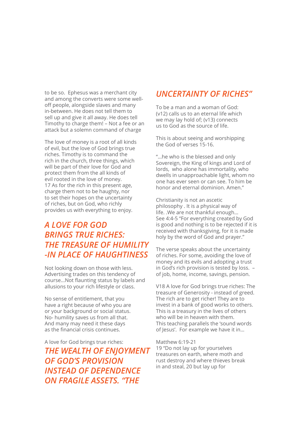to be so. Ephesus was a merchant city and among the converts were some welloff people, alongside slaves and many in-between. He does not tell them to sell up and give it all away. He does tell Timothy to charge them! – Not a fee or an attack but a solemn command of charge

The love of money is a root of all kinds of evil, but the love of God brings true riches. Timothy is to command the rich in the church, three things, which will be part of their love for God and protect them from the all kinds of evil rooted in the love of money. 17 As for the rich in this present age, charge them not to be haughty, nor to set their hopes on the uncertainty of riches, but on God, who richly provides us with everything to enjoy.

# *A LOVE FOR GOD BRINGS TRUE RICHES: THE TREASURE OF HUMILITY -IN PLACE OF HAUGHTINESS*

Not looking down on those with less. Advertising trades on this tendency of course...Not flaunting status by labels and allusions to your rich lifestyle or class.

No sense of entitlement, that you have a right because of who you are or your background or social status. No- humility saves us from all that. And many may need it these days as the financial crisis continues.

A love for God brings true riches: *THE WEALTH OF ENJOYMENT OF GOD'S PROVISION INSTEAD OF DEPENDENCE ON FRAGILE ASSETS. "THE* 

# *UNCERTAINTY OF RICHES"*

To be a man and a woman of God: (v12) calls us to an eternal life which we may lay hold of; (v13) connects us to God as the source of life.

This is about seeing and worshipping the God of verses 15-16.

"…he who is the blessed and only Sovereign, the King of kings and Lord of lords, who alone has immortality, who dwells in unapproachable light, whom no one has ever seen or can see. To him be honor and eternal dominion. Amen."

Christianity is not an ascetic philosophy . It is a physical way of life. .We are not thankful enough… See 4:4-5 "For everything created by God is good and nothing is to be rejected if it is received with thanksgiving, for it is made holy by the word of God and prayer."

The verse speaks about the uncertainty of riches. For some, avoiding the love of money and its evils and adopting a trust in God's rich provision is tested by loss. – of job, home, income, savings, pension.

V18 A love for God brings true riches: The treasure of Generosity - instead of greed. The rich are to get richer! They are to invest in a bank of good works to others. This is a treasury in the lives of others who will be in heaven with them. This teaching parallels the 'sound words of Jesus'. For example we have it in...

Matthew 6:19-21

19 "Do not lay up for yourselves treasures on earth, where moth and rust destroy and where thieves break in and steal, 20 but lay up for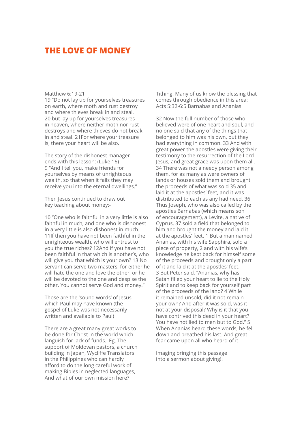#### **THE LOVE OF MONEY**

#### Matthew 6:19-21

19 "Do not lay up for yourselves treasures on earth, where moth and rust destroy and where thieves break in and steal, 20 but lay up for yourselves treasures in heaven, where neither moth nor rust destroys and where thieves do not break in and steal. 21For where your treasure is, there your heart will be also.

The story of the dishonest manager ends with this lesson: (Luke 16) 9 "And I tell you, make friends for yourselves by means of unrighteous wealth, so that when it fails they may receive you into the eternal dwellings."

Then Jesus continued to draw out key teaching about money:-

10 "One who is faithful in a very little is also faithful in much, and one who is dishonest in a very little is also dishonest in much. 11If then you have not been faithful in the unrighteous wealth, who will entrust to you the true riches? 12And if you have not been faithful in that which is another's, who will give you that which is your own? 13 No servant can serve two masters, for either he will hate the one and love the other, or he will be devoted to the one and despise the other. You cannot serve God and money."

Those are the 'sound words' of Jesus which Paul may have known (the gospel of Luke was not necessarily written and available to Paul)

There are a great many great works to be done for Christ in the world which languish for lack of funds. Eg. The support of Moldovan pastors, a church building in Japan, Wycliffe Translators in the Philippines who can hardly afford to do the long careful work of making Bibles in neglected languages, And what of our own mission here?

Tithing: Many of us know the blessing that comes through obedience in this area: Acts 5:32-6:5 Barnabas and Ananias

32 Now the full number of those who believed were of one heart and soul, and no one said that any of the things that belonged to him was his own, but they had everything in common. 33 And with great power the apostles were giving their testimony to the resurrection of the Lord Jesus, and great grace was upon them all. 34 There was not a needy person among them, for as many as were owners of lands or houses sold them and brought the proceeds of what was sold 35 and laid it at the apostles' feet, and it was distributed to each as any had need. 36 Thus Joseph, who was also called by the apostles Barnabas (which means son of encouragement), a Levite, a native of Cyprus, 37 sold a field that belonged to him and brought the money and laid it at the apostles' feet. 1 But a man named Ananias, with his wife Sapphira, sold a piece of property, 2 and with his wife's knowledge he kept back for himself some of the proceeds and brought only a part of it and laid it at the apostles' feet. 3 But Peter said, "Ananias, why has Satan filled your heart to lie to the Holy Spirit and to keep back for yourself part of the proceeds of the land? 4 While it remained unsold, did it not remain your own? And after it was sold, was it not at your disposal? Why is it that you have contrived this deed in your heart? You have not lied to men but to God." 5 When Ananias heard these words, he fell down and breathed his last. And great fear came upon all who heard of it.

Imaging bringing this passage into a sermon about giving!!